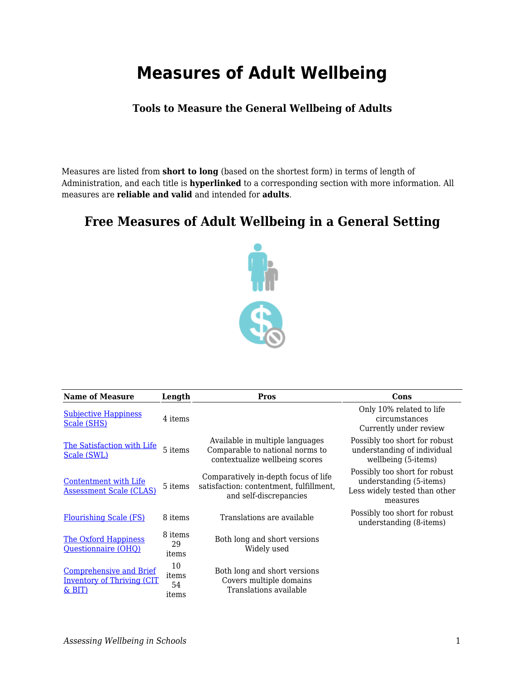## **Measures of Adult Wellbeing**

## **Tools to Measure the General Wellbeing of Adults**

Measures are listed from **short to long** (based on the shortest form) in terms of length of Administration, and each title is **hyperlinked** to a corresponding section with more information. All measures are **reliable and valid** and intended for **adults**.

## **Free Measures of Adult Wellbeing in a General Setting**



| <b>Name of Measure</b>                                                           | Length                     | Pros                                                                                                      | Cons                                                                                                  |
|----------------------------------------------------------------------------------|----------------------------|-----------------------------------------------------------------------------------------------------------|-------------------------------------------------------------------------------------------------------|
| <b>Subjective Happiness</b><br>Scale (SHS)                                       | 4 items                    |                                                                                                           | Only 10% related to life<br>circumstances<br>Currently under review                                   |
| The Satisfaction with Life<br>Scale (SWL)                                        | 5 items                    | Available in multiple languages<br>Comparable to national norms to<br>contextualize wellbeing scores      | Possibly too short for robust<br>understanding of individual<br>wellbeing (5-items)                   |
| Contentment with Life<br><b>Assessment Scale (CLAS)</b>                          | 5 items                    | Comparatively in-depth focus of life<br>satisfaction: contentment, fulfillment,<br>and self-discrepancies | Possibly too short for robust<br>understanding (5-items)<br>Less widely tested than other<br>measures |
| <b>Flourishing Scale (FS)</b>                                                    | 8 items                    | Translations are available                                                                                | Possibly too short for robust<br>understanding (8-items)                                              |
| <b>The Oxford Happiness</b><br>Questionnaire (OHQ)                               | 8 items<br>29<br>items     | Both long and short versions<br>Widely used                                                               |                                                                                                       |
| <b>Comprehensive and Brief</b><br><b>Inventory of Thriving (CIT</b><br>$\&$ BIT) | 10<br>items<br>54<br>items | Both long and short versions<br>Covers multiple domains<br>Translations available                         |                                                                                                       |